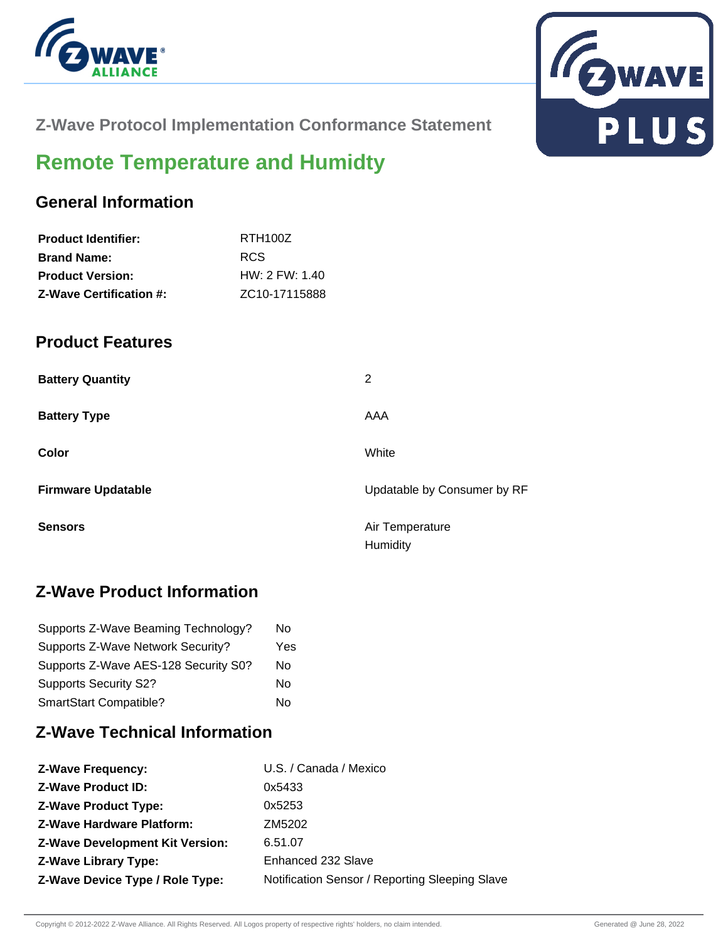



**Z-Wave Protocol Implementation Conformance Statement**

# **Remote Temperature and Humidty**

### **General Information**

| <b>Product Identifier:</b>     | RTH <sub>100</sub> Z       |
|--------------------------------|----------------------------|
| <b>Brand Name:</b>             | RCS.                       |
| <b>Product Version:</b>        | HW: 2 FW: 1.40             |
| <b>Z-Wave Certification #:</b> | ZC <sub>10</sub> -17115888 |

#### **Product Features**

| <b>Battery Quantity</b>   | 2                           |
|---------------------------|-----------------------------|
| <b>Battery Type</b>       | AAA                         |
| Color                     | White                       |
| <b>Firmware Updatable</b> | Updatable by Consumer by RF |
| <b>Sensors</b>            | Air Temperature<br>Humidity |

# **Z-Wave Product Information**

| Supports Z-Wave Beaming Technology?  | No  |
|--------------------------------------|-----|
| Supports Z-Wave Network Security?    | Yes |
| Supports Z-Wave AES-128 Security S0? | No  |
| <b>Supports Security S2?</b>         | No  |
| SmartStart Compatible?               | N٥  |

#### **Z-Wave Technical Information**

| <b>Z-Wave Product ID:</b><br>0x5433<br>0x5253<br><b>Z-Wave Product Type:</b><br><b>Z-Wave Hardware Platform:</b><br>ZM5202<br><b>Z-Wave Development Kit Version:</b><br>6.51.07<br><b>Z-Wave Library Type:</b><br>Enhanced 232 Slave<br><b>Z-Wave Device Type / Role Type:</b> | <b>Z-Wave Frequency:</b> | U.S. / Canada / Mexico                         |
|--------------------------------------------------------------------------------------------------------------------------------------------------------------------------------------------------------------------------------------------------------------------------------|--------------------------|------------------------------------------------|
|                                                                                                                                                                                                                                                                                |                          |                                                |
|                                                                                                                                                                                                                                                                                |                          |                                                |
|                                                                                                                                                                                                                                                                                |                          |                                                |
|                                                                                                                                                                                                                                                                                |                          |                                                |
|                                                                                                                                                                                                                                                                                |                          |                                                |
|                                                                                                                                                                                                                                                                                |                          | Notification Sensor / Reporting Sleeping Slave |